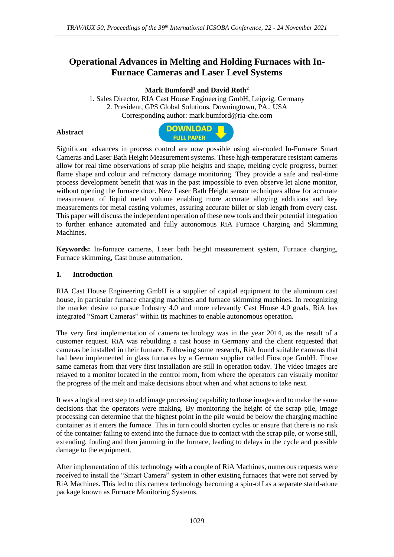# **Operational Advances in Melting and Holding Furnaces with In-Furnace Cameras and Laser Level Systems**

# **Mark Bumford<sup>1</sup> and David Roth<sup>2</sup>**

1. Sales Director, RIA Cast House Engineering GmbH, Leipzig, Germany 2. President, GPS Global Solutions, Downingtown, PA., USA Corresponding author: mark.bumford@ria-che.com

#### **Abstract**



Significant advances in process control are now possible using air-cooled In-Furnace Smart Cameras and Laser Bath Height Measurement systems. These high-temperature resistant cameras allow for real time observations of scrap pile heights and shape, melting cycle progress, burner flame shape and colour and refractory damage monitoring. They provide a safe and real-time process development benefit that was in the past impossible to even observe let alone monitor, without opening the furnace door. New Laser Bath Height sensor techniques allow for accurate measurement of liquid metal volume enabling more accurate alloying additions and key measurements for metal casting volumes, assuring accurate billet or slab length from every cast. This paper will discuss the independent operation of these new tools and their potential integration to further enhance automated and fully autonomous RiA Furnace Charging and Skimming Machines.

**Keywords:** In-furnace cameras, Laser bath height measurement system, Furnace charging, Furnace skimming, Cast house automation.

#### **1. Introduction**

RIA Cast House Engineering GmbH is a supplier of capital equipment to the aluminum cast house, in particular furnace charging machines and furnace skimming machines. In recognizing the market desire to pursue Industry 4.0 and more relevantly Cast House 4.0 goals, RiA has integrated "Smart Cameras" within its machines to enable autonomous operation.

The very first implementation of camera technology was in the year 2014, as the result of a customer request. RiA was rebuilding a cast house in Germany and the client requested that cameras be installed in their furnace. Following some research, RiA found suitable cameras that had been implemented in glass furnaces by a German supplier called Fioscope GmbH. Those same cameras from that very first installation are still in operation today. The video images are relayed to a monitor located in the control room, from where the operators can visually monitor the progress of the melt and make decisions about when and what actions to take next.

It was a logical next step to add image processing capability to those images and to make the same decisions that the operators were making. By monitoring the height of the scrap pile, image processing can determine that the highest point in the pile would be below the charging machine container as it enters the furnace. This in turn could shorten cycles or ensure that there is no risk of the container failing to extend into the furnace due to contact with the scrap pile, or worse still, extending, fouling and then jamming in the furnace, leading to delays in the cycle and possible damage to the equipment.

After implementation of this technology with a couple of RiA Machines, numerous requests were received to install the "Smart Camera" system in other existing furnaces that were not served by RiA Machines. This led to this camera technology becoming a spin-off as a separate stand-alone package known as Furnace Monitoring Systems.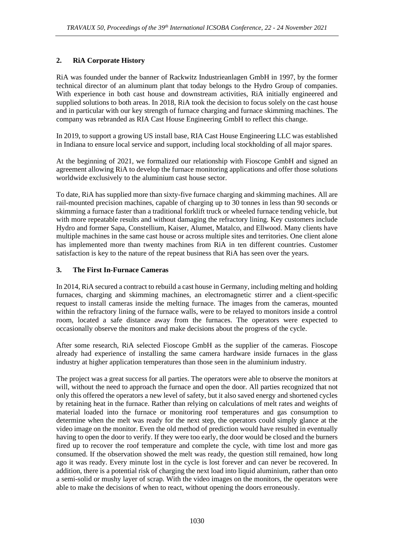# **2. RiA Corporate History**

RiA was founded under the banner of Rackwitz Industrieanlagen GmbH in 1997, by the former technical director of an aluminum plant that today belongs to the Hydro Group of companies. With experience in both cast house and downstream activities, RiA initially engineered and supplied solutions to both areas. In 2018, RiA took the decision to focus solely on the cast house and in particular with our key strength of furnace charging and furnace skimming machines. The company was rebranded as RIA Cast House Engineering GmbH to reflect this change.

In 2019, to support a growing US install base, RIA Cast House Engineering LLC was established in Indiana to ensure local service and support, including local stockholding of all major spares.

At the beginning of 2021, we formalized our relationship with Fioscope GmbH and signed an agreement allowing RiA to develop the furnace monitoring applications and offer those solutions worldwide exclusively to the aluminium cast house sector.

To date, RiA has supplied more than sixty-five furnace charging and skimming machines. All are rail-mounted precision machines, capable of charging up to 30 tonnes in less than 90 seconds or skimming a furnace faster than a traditional forklift truck or wheeled furnace tending vehicle, but with more repeatable results and without damaging the refractory lining. Key customers include Hydro and former Sapa, Constellium, Kaiser, Alumet, Matalco, and Ellwood. Many clients have multiple machines in the same cast house or across multiple sites and territories. One client alone has implemented more than twenty machines from RiA in ten different countries. Customer satisfaction is key to the nature of the repeat business that RiA has seen over the years.

## **3. The First In-Furnace Cameras**

In 2014, RiA secured a contract to rebuild a cast house in Germany, including melting and holding furnaces, charging and skimming machines, an electromagnetic stirrer and a client-specific request to install cameras inside the melting furnace. The images from the cameras, mounted within the refractory lining of the furnace walls, were to be relayed to monitors inside a control room, located a safe distance away from the furnaces. The operators were expected to occasionally observe the monitors and make decisions about the progress of the cycle.

After some research, RiA selected Fioscope GmbH as the supplier of the cameras. Fioscope already had experience of installing the same camera hardware inside furnaces in the glass industry at higher application temperatures than those seen in the aluminium industry.

The project was a great success for all parties. The operators were able to observe the monitors at will, without the need to approach the furnace and open the door. All parties recognized that not only this offered the operators a new level of safety, but it also saved energy and shortened cycles by retaining heat in the furnace. Rather than relying on calculations of melt rates and weights of material loaded into the furnace or monitoring roof temperatures and gas consumption to determine when the melt was ready for the next step, the operators could simply glance at the video image on the monitor. Even the old method of prediction would have resulted in eventually having to open the door to verify. If they were too early, the door would be closed and the burners fired up to recover the roof temperature and complete the cycle, with time lost and more gas consumed. If the observation showed the melt was ready, the question still remained, how long ago it was ready. Every minute lost in the cycle is lost forever and can never be recovered. In addition, there is a potential risk of charging the next load into liquid aluminium, rather than onto a semi-solid or mushy layer of scrap. With the video images on the monitors, the operators were able to make the decisions of when to react, without opening the doors erroneously.